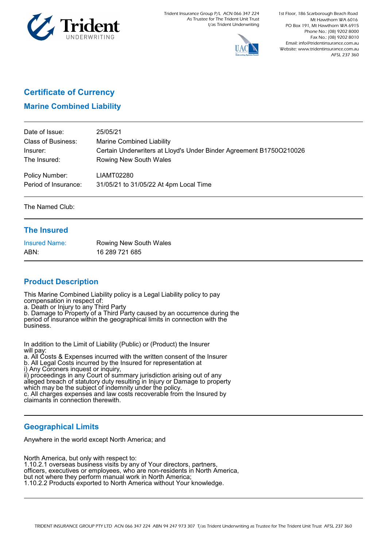

Trident Insurance Group P/L ACN 066 347 224 As Trustee for The Trident Unit Trust t/as Trident Underwriting



1st Floor, 186 Scarborough Beach Road Mt Hawthorn WA 6016 PO Box 191, Mt Hawthorn WA 6915 Phone No.: (08) 9202 8000 Fax No.: (08) 9202 8010 Email: info@tridentinsurance.com.au Website: www.tridentinsurance.com.au AFSL 237 360

 $\Box$ 

# **Certificate of Currency**

## **Marine Combined Liability**

| Date of Issue:            | 25/05/21                                                            |
|---------------------------|---------------------------------------------------------------------|
| <b>Class of Business:</b> | <b>Marine Combined Liability</b>                                    |
| Insurer:                  | Certain Underwriters at Lloyd's Under Binder Agreement B1750O210026 |
| The Insured:              | Rowing New South Wales                                              |
| Policy Number:            | LIAMT02280                                                          |
| Period of Insurance:      | 31/05/21 to 31/05/22 At 4pm Local Time                              |

The Named Club:

#### **The Insured**

| <b>Insured Name:</b> | Rowing New South Wales |
|----------------------|------------------------|
| ABN:                 | 16 289 721 685         |

## **Product Description**

This Marine Combined Liability policy is a Legal Liability policy to pay compensation in respect of:

a. Death or Injury to any Third Party

b. Damage to Property of a Third Party caused by an occurrence during the period of insurance within the geographical limits in connection with the business.

In addition to the Limit of Liability (Public) or (Product) the Insurer will pay:

a. All Costs & Expenses incurred with the written consent of the Insurer b. All Legal Costs incurred by the Insured for representation at

i) Any Coroners inquest or inquiry,

ii) proceedings in any Court of summary jurisdiction arising out of any alleged breach of statutory duty resulting in Injury or Damage to property which may be the subject of indemnity under the policy.

c. All charges expenses and law costs recoverable from the Insured by claimants in connection therewith.

#### **Geographical Limits**

Anywhere in the world except North America; and

North America, but only with respect to: 1.10.2.1 overseas business visits by any of Your directors, partners, officers, executives or employees, who are non-residents in North America, but not where they perform manual work in North America; 1.10.2.2 Products exported to North America without Your knowledge.